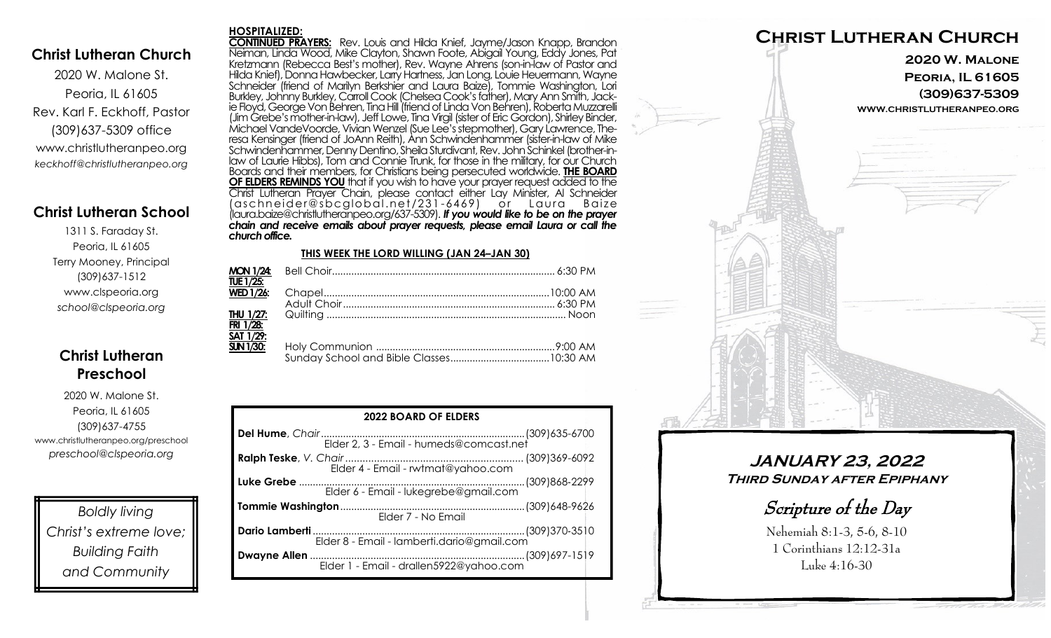#### **Christ Lutheran Church**

2020 W. Malone St. Peoria, IL 61605 Rev. Karl F. Eckhoff, Pastor (309)637-5309 office www.christlutheranpeo.org *keckhoff@christlutheranpeo.org*

## **Christ Lutheran School**

1311 S. Faraday St. Peoria, IL 61605 Terry Mooney, Principal (309)637-1512 www.clspeoria.org *school@clspeoria.org*

# **Christ Lutheran Preschool**

2020 W. Malone St. Peoria, IL 61605 (309)637-4755 www.christlutheranpeo.org/preschool *preschool@clspeoria.org*

*Boldly living Christ's extreme love; Building Faith and Community*

**HOSPITALIZED: CONTINUED PRAYERS:** Rev. Louis and Hilda Knief, Jayme/Jason Knapp, Brandon Neiman, Linda Wood, Mike Clayton, Shawn Foote, Abigail Young, Eddy Jones, Pat Kretzmann (Rebecca Best's mother), Rev. Wayne Ahrens (son-in-law of Pastor and Hilda Knief), Donna Hawbecker, Larry Hartness, Jan Long, Louie Heuermann, Wayne Schneider (friend of Marilyn Berkshier and Laura Baize), Tommie Washington, Lori Burkley, Johnny Burkley, Carroll Cook (Chelsea Cook's father), Mary Ann Smith, Jackie Floyd, George Von Behren, Tina Hill (friend of Linda Von Behren), Roberta Muzzarelli (Jim Grebe's mother-in-law), Jeff Lowe, Tina Virgil (sister of Eric Gordon), Shirley Binder, Michael VandeVoorde, Vivian Wenzel (Sue Lee's stepmother), Gary Lawrence, Theresa Kensinger (friend of JoAnn Reith), Ann Schwindenhammer (sister-in-law of Mike Schwindenhammer, Denny Dentino, Sheila Sturdivant, Rev. John Schinkel (brother-inlaw of Laurie Hibbs), Tom and Connie Trunk, for those in the military, for our Church Boards and their members, for Christians being persecuted worldwide. **THE BOARD OF ELDERS REMINDS YOU** that if you wish to have your prayer request added to the Christ Lutheran Prayer Chain, please contact either Lay Minister, Al Schneider (aschnei der@sbcglobal .net/231 -6469) or Laura B aize (laura.baize@christlutheranpeo.org/637-5309). *If you would like to be on the prayer chain and receive emails about prayer requests, please email Laura or call the church office.* **THIS WEEK THE LORD WILLING (JAN 24–JAN 30)**

| <b>MON 1/24:</b><br>TUE 1/25:                     |  |
|---------------------------------------------------|--|
| WED $1/26$ :                                      |  |
| THU 1/27:<br>FRI 1/28:<br>SAT $1/\overline{29}$ : |  |
| <b>SUN 1/30:</b>                                  |  |

| <b>2022 BOARD OF ELDERS</b>             |  |  |  |
|-----------------------------------------|--|--|--|
|                                         |  |  |  |
| Elder 4 - Email - rwtmat@yahoo.com      |  |  |  |
| Elder 6 - Email - lukegrebe@gmail.com   |  |  |  |
| Elder 7 - No Email                      |  |  |  |
|                                         |  |  |  |
| Elder 1 - Email - drallen5922@yahoo.com |  |  |  |



**JANUARY 23, 2022 Third Sunday after Epiphany** 

Scripture of the Day

Nehemiah 8:1-3, 5-6, 8-10 1 Corinthians 12:12-31a Luke 4:16-30